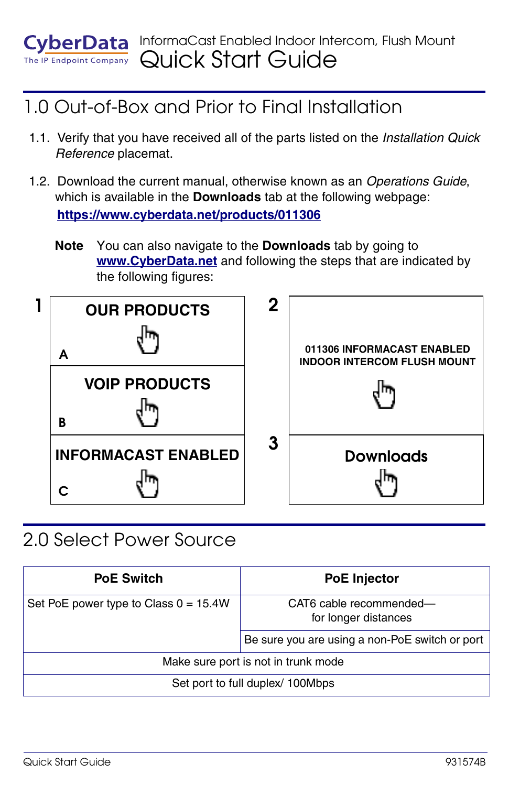#### InformaCast Enabled Indoor Intercom, Flush Mount **EvberData**  $T$ <sub>Endpoint Company</sub> Quick Start Guide

### 1.0 Out-of-Box and Prior to Final Installation

- 1.1. Verify that you have received all of the parts listed on the *Installation Quick Reference* placemat.
- 1.2. Download the current manual, otherwise known as an *Operations Guide*, which is available in the **Downloads** tab at the following webpage: **<https://www.cyberdata.net/products/011306>**
	- **Note** You can also navigate to the **Downloads** tab by going to **<www.CyberData.net>** and following the steps that are indicated by the following figures:



#### 2.0 Select Power Source

| <b>PoE Switch</b>                       | <b>PoE Injector</b>                             |
|-----------------------------------------|-------------------------------------------------|
| Set PoE power type to Class $0 = 15.4W$ | CAT6 cable recommended-<br>for longer distances |
|                                         | Be sure you are using a non-PoE switch or port  |
| Make sure port is not in trunk mode     |                                                 |
| Set port to full duplex/ 100Mbps        |                                                 |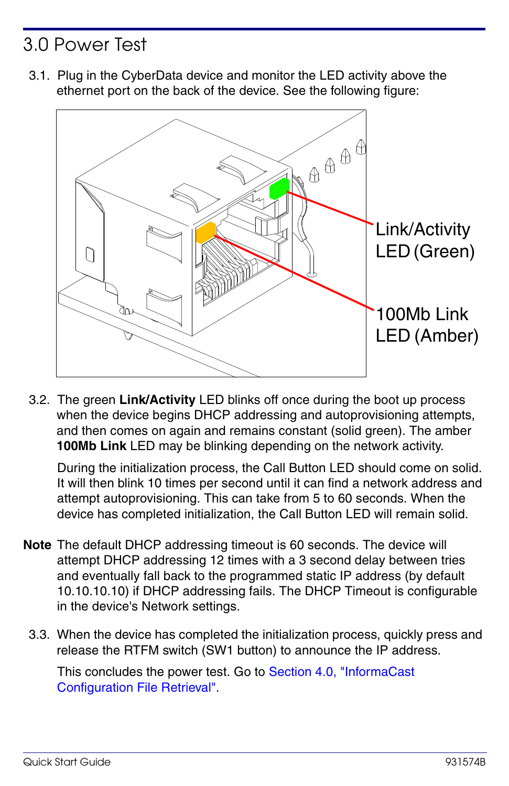## 3.0 Power Test

3.1. Plug in the CyberData device and monitor the LED activity above the ethernet port on the back of the device. See the following figure:



3.2. The green **Link/Activity** LED blinks off once during the boot up process when the device begins DHCP addressing and autoprovisioning attempts, and then comes on again and remains constant (solid green). The amber **100Mb Link** LED may be blinking depending on the network activity.

During the initialization process, the Call Button LED should come on solid. It will then blink 10 times per second until it can find a network address and attempt autoprovisioning. This can take from 5 to 60 seconds. When the device has completed initialization, the Call Button LED will remain solid.

- **Note** The default DHCP addressing timeout is 60 seconds. The device will attempt DHCP addressing 12 times with a 3 second delay between tries and eventually fall back to the programmed static IP address (by default 10.10.10.10) if DHCP addressing fails. The DHCP Timeout is configurable in the device's Network settings.
	- 3.3. When the device has completed the initialization process, quickly press and release the RTFM switch (SW1 button) to announce the IP address.

This concludes the power test. Go to [Section 4.0, "InformaCast](#page-2-0)  [Configuration File Retrieval"](#page-2-0).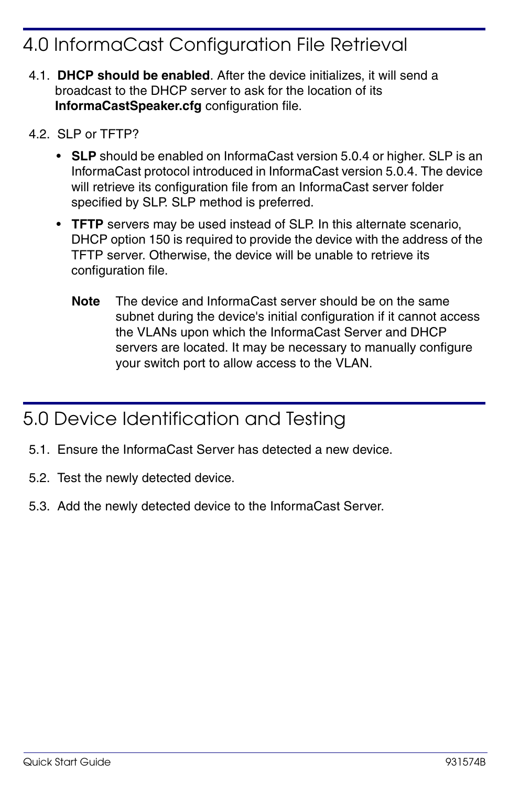## <span id="page-2-0"></span>4.0 InformaCast Configuration File Retrieval

- 4.1. **DHCP should be enabled**. After the device initializes, it will send a broadcast to the DHCP server to ask for the location of its **InformaCastSpeaker.cfg** configuration file.
- 4.2. SLP or TFTP?
	- **SLP** should be enabled on InformaCast version 5.0.4 or higher. SLP is an InformaCast protocol introduced in InformaCast version 5.0.4. The device will retrieve its configuration file from an InformaCast server folder specified by SLP. SLP method is preferred.
	- **TFTP** servers may be used instead of SLP. In this alternate scenario, DHCP option 150 is required to provide the device with the address of the TFTP server. Otherwise, the device will be unable to retrieve its configuration file.
		- **Note** The device and InformaCast server should be on the same subnet during the device's initial configuration if it cannot access the VLANs upon which the InformaCast Server and DHCP servers are located. It may be necessary to manually configure your switch port to allow access to the VLAN.

#### 5.0 Device Identification and Testing

- 5.1. Ensure the InformaCast Server has detected a new device.
- 5.2. Test the newly detected device.
- 5.3. Add the newly detected device to the InformaCast Server.